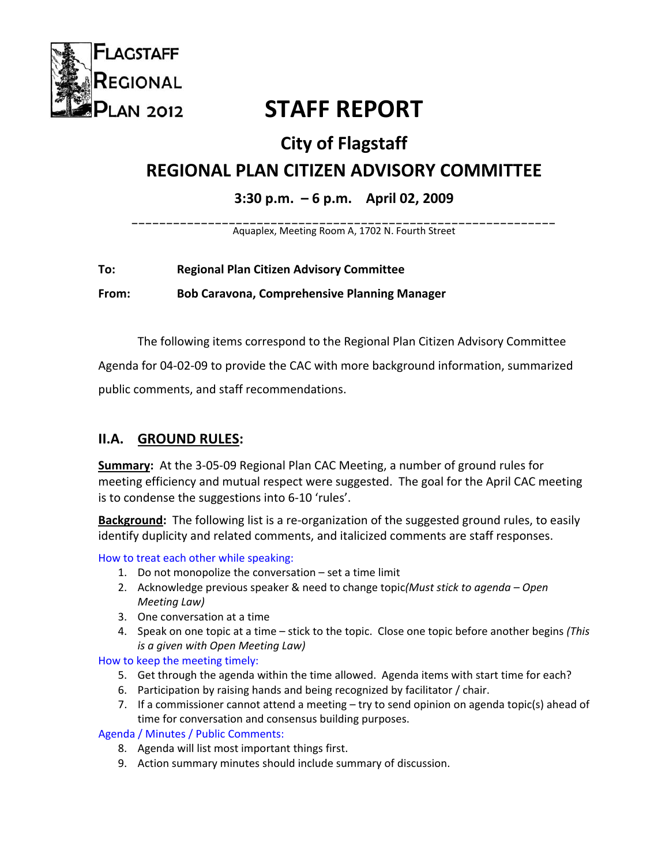

# **STAFF REPORT**

## **City of Flagstaff**

## **REGIONAL PLAN CITIZEN ADVISORY COMMITTEE**

## **3:30 p.m. – 6 p.m. April 02, 2009**

**\_\_\_\_\_\_\_\_\_\_\_\_\_\_\_\_\_\_\_\_\_\_\_\_\_\_\_\_\_\_\_\_\_\_\_\_\_\_\_\_\_\_\_\_\_\_\_\_\_\_\_\_\_\_\_\_\_\_\_\_\_**  Aquaplex, Meeting Room A, 1702 N. Fourth Street

## **To: Regional Plan Citizen Advisory Committee**

**From: Bob Caravona, Comprehensive Planning Manager**

The following items correspond to the Regional Plan Citizen Advisory Committee

Agenda for 04‐02‐09 to provide the CAC with more background information, summarized

public comments, and staff recommendations.

## **II.A. GROUND RULES:**

**Summary:** At the 3‐05‐09 Regional Plan CAC Meeting, a number of ground rules for meeting efficiency and mutual respect were suggested. The goal for the April CAC meeting is to condense the suggestions into 6‐10 'rules'.

Background: The following list is a re-organization of the suggested ground rules, to easily identify duplicity and related comments, and italicized comments are staff responses.

How to treat each other while speaking:

- 1. Do not monopolize the conversation set a time limit
- 2. Acknowledge previous speaker & need to change topic*(Must stick to agenda – Open Meeting Law)*
- 3. One conversation at a time
- 4. Speak on one topic at a time stick to the topic. Close one topic before another begins *(This is a given with Open Meeting Law)*

How to keep the meeting timely:

- 5. Get through the agenda within the time allowed. Agenda items with start time for each?
- 6. Participation by raising hands and being recognized by facilitator / chair.
- 7. If a commissioner cannot attend a meeting  $-$  try to send opinion on agenda topic(s) ahead of time for conversation and consensus building purposes.

Agenda / Minutes / Public Comments:

- 8. Agenda will list most important things first.
- 9. Action summary minutes should include summary of discussion.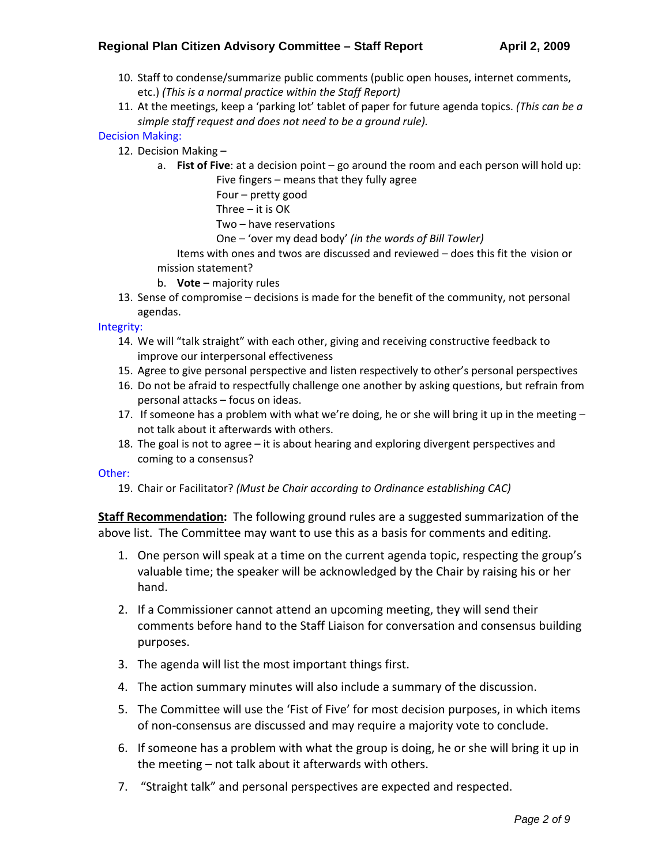#### **Regional Plan Citizen Advisory Committee – Staff Report April 2, 2009**

- 10. Staff to condense/summarize public comments (public open houses, internet comments, etc.) *(This is a normal practice within the Staff Report)*
- 11. At the meetings, keep a 'parking lot' tablet of paper for future agenda topics. *(This can be a simple staff request and does not need to be a ground rule).*

#### Decision Making:

- 12. Decision Making
	- a. **Fist of Five**: at a decision point go around the room and each person will hold up: Five fingers – means that they fully agree

Four – pretty good

Three – it is OK

Two – have reservations

One – 'over my dead body' *(in the words of Bill Towler)*

Items with ones and twos are discussed and reviewed – does this fit the vision or mission statement?

- b. **Vote** majority rules
- 13. Sense of compromise decisions is made for the benefit of the community, not personal agendas.

#### Integrity:

- 14. We will "talk straight" with each other, giving and receiving constructive feedback to improve our interpersonal effectiveness
- 15. Agree to give personal perspective and listen respectively to other's personal perspectives
- 16. Do not be afraid to respectfully challenge one another by asking questions, but refrain from personal attacks – focus on ideas.
- 17. If someone has a problem with what we're doing, he or she will bring it up in the meeting  $$ not talk about it afterwards with others.
- 18. The goal is not to agree it is about hearing and exploring divergent perspectives and coming to a consensus?

#### Other:

19. Chair or Facilitator? *(Must be Chair according to Ordinance establishing CAC)*

**Staff Recommendation:** The following ground rules are a suggested summarization of the above list. The Committee may want to use this as a basis for comments and editing.

- 1. One person will speak at a time on the current agenda topic, respecting the group's valuable time; the speaker will be acknowledged by the Chair by raising his or her hand.
- 2. If a Commissioner cannot attend an upcoming meeting, they will send their comments before hand to the Staff Liaison for conversation and consensus building purposes.
- 3. The agenda will list the most important things first.
- 4. The action summary minutes will also include a summary of the discussion.
- 5. The Committee will use the 'Fist of Five' for most decision purposes, in which items of non‐consensus are discussed and may require a majority vote to conclude.
- 6. If someone has a problem with what the group is doing, he or she will bring it up in the meeting – not talk about it afterwards with others.
- 7. "Straight talk" and personal perspectives are expected and respected.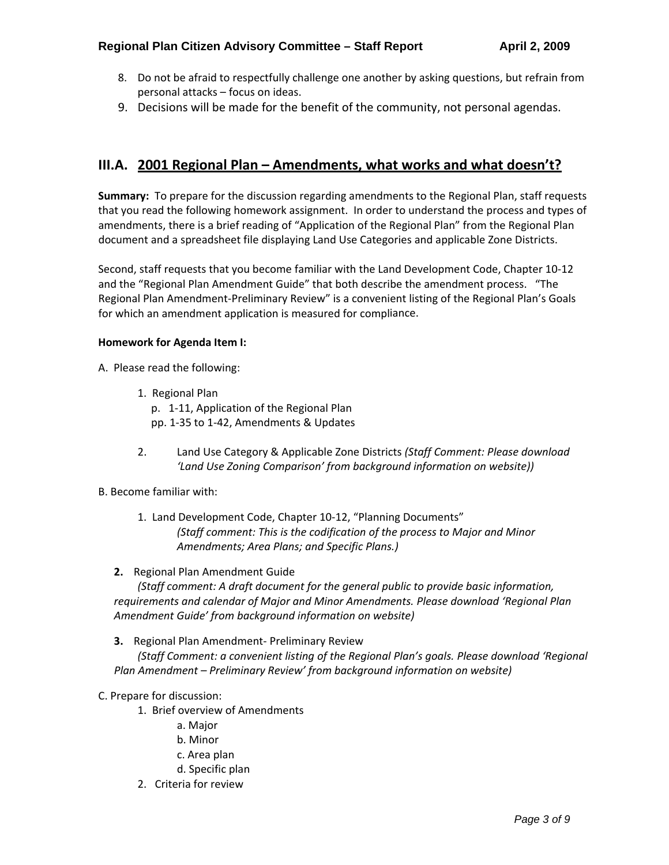- 8. Do not be afraid to respectfully challenge one another by asking questions, but refrain from personal attacks – focus on ideas.
- 9. Decisions will be made for the benefit of the community, not personal agendas.

## **III.A. 2001 Regional Plan – Amendments, what works and what doesn't?**

**Summary:** To prepare for the discussion regarding amendments to the Regional Plan, staff requests that you read the following homework assignment. In order to understand the process and types of amendments, there is a brief reading of "Application of the Regional Plan" from the Regional Plan document and a spreadsheet file displaying Land Use Categories and applicable Zone Districts.

Second, staff requests that you become familiar with the Land Development Code, Chapter 10‐12 and the "Regional Plan Amendment Guide" that both describe the amendment process. "The Regional Plan Amendment‐Preliminary Review" is a convenient listing of the Regional Plan's Goals for which an amendment application is measured for compliance.

#### **Homework for Agenda Item I:**

A. Please read the following:

- 1. Regional Plan p. 1‐11, Application of the Regional Plan pp. 1‐35 to 1‐42, Amendments & Updates
- 2. Land Use Category & Applicable Zone Districts *(Staff Comment: Please download 'Land Use Zoning Comparison' from background information on website))*

#### B. Become familiar with:

1. Land Development Code, Chapter 10‐12, "Planning Documents" *(Staff comment: This is the codification of the process to Major and Minor Amendments; Area Plans; and Specific Plans.)*

#### **2.** Regional Plan Amendment Guide

*(Staff comment: A draft document for the general public to provide basic information, requirements and calendar of Major and Minor Amendments. Please download 'Regional Plan Amendment Guide' from background information on website)*

**3.** Regional Plan Amendment‐ Preliminary Review

*(Staff Comment: a convenient listing of the Regional Plan's goals. Please download 'Regional Plan Amendment – Preliminary Review' from background information on website)*

#### C. Prepare for discussion:

- 1. Brief overview of Amendments
	- a. Major
	- b. Minor
	- c. Area plan
	- d. Specific plan
- 2. Criteria for review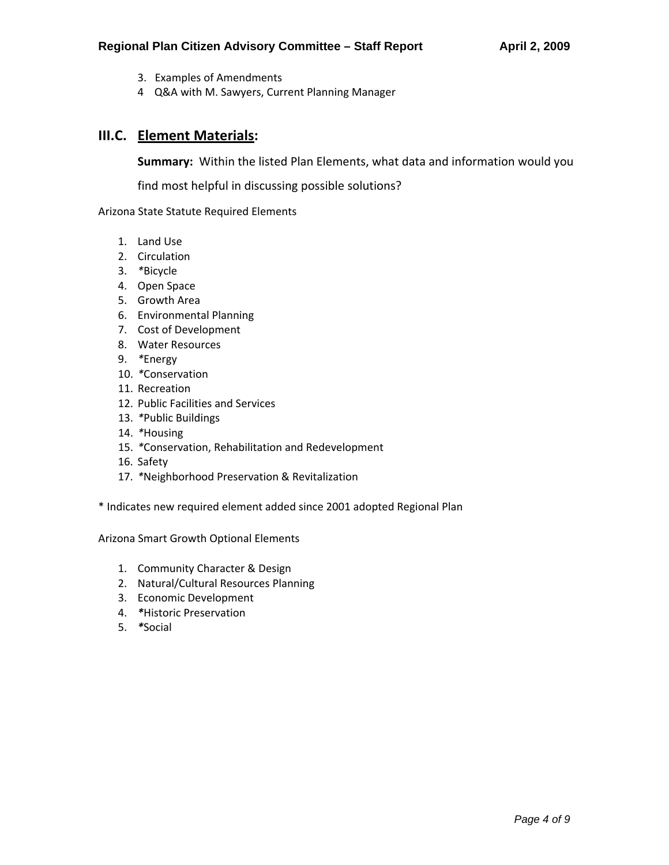- 3. Examples of Amendments
- 4 Q&A with M. Sawyers, Current Planning Manager

## **III.C. Element Materials:**

**Summary:** Within the listed Plan Elements, what data and information would you

find most helpful in discussing possible solutions?

Arizona State Statute Required Elements

- 1. Land Use
- 2. Circulation
- 3. *\**Bicycle
- 4. Open Space
- 5. Growth Area
- 6. Environmental Planning
- 7. Cost of Development
- 8. Water Resources
- 9. *\**Energy
- 10. *\**Conservation
- 11. Recreation
- 12. Public Facilities and Services
- 13. *\**Public Buildings
- 14. *\**Housing
- 15. *\**Conservation, Rehabilitation and Redevelopment
- 16. Safety
- 17. *\**Neighborhood Preservation & Revitalization

\* Indicates new required element added since 2001 adopted Regional Plan

Arizona Smart Growth Optional Elements

- 1. Community Character & Design
- 2. Natural/Cultural Resources Planning
- 3. Economic Development
- 4. *\**Historic Preservation
- 5. *\**Social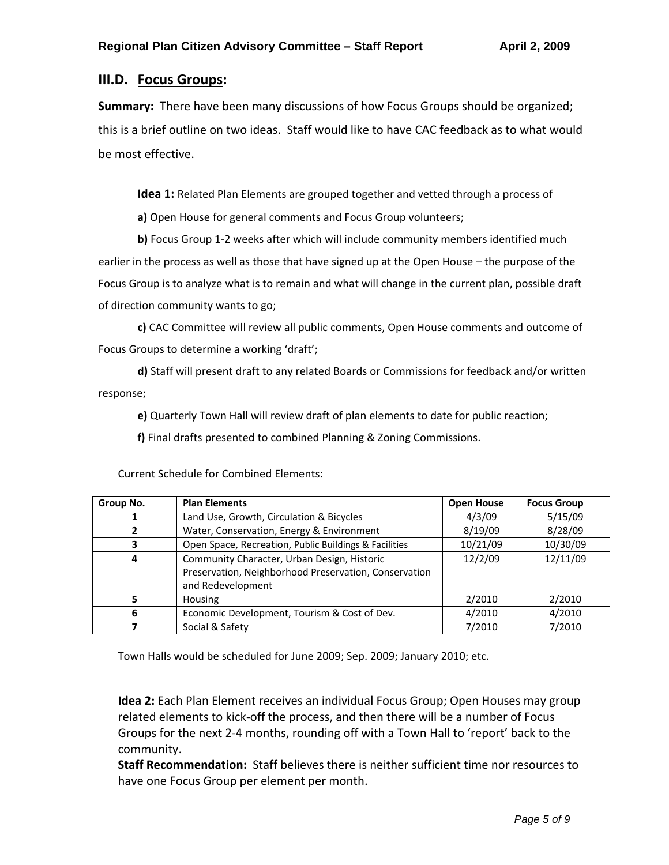## **III.D. Focus Groups:**

**Summary:** There have been many discussions of how Focus Groups should be organized; this is a brief outline on two ideas. Staff would like to have CAC feedback as to what would be most effective.

**Idea 1:** Related Plan Elements are grouped together and vetted through a process of

**a)** Open House for general comments and Focus Group volunteers;

**b)** Focus Group 1‐2 weeks after which will include community members identified much earlier in the process as well as those that have signed up at the Open House – the purpose of the Focus Group is to analyze what is to remain and what will change in the current plan, possible draft of direction community wants to go;

**c)** CAC Committee will review all public comments, Open House comments and outcome of Focus Groups to determine a working 'draft';

**d)** Staff will present draft to any related Boards or Commissions for feedback and/or written response;

**e)** Quarterly Town Hall will review draft of plan elements to date for public reaction;

**f)** Final drafts presented to combined Planning & Zoning Commissions.

| Group No. | <b>Plan Elements</b>                                  | <b>Open House</b> | <b>Focus Group</b> |
|-----------|-------------------------------------------------------|-------------------|--------------------|
|           | Land Use, Growth, Circulation & Bicycles              | 4/3/09            | 5/15/09            |
|           | Water, Conservation, Energy & Environment             | 8/19/09           | 8/28/09            |
| з         | Open Space, Recreation, Public Buildings & Facilities | 10/21/09          | 10/30/09           |
| 4         | Community Character, Urban Design, Historic           | 12/2/09           | 12/11/09           |
|           | Preservation, Neighborhood Preservation, Conservation |                   |                    |
|           | and Redevelopment                                     |                   |                    |
|           | <b>Housing</b>                                        | 2/2010            | 2/2010             |
| 6         | Economic Development, Tourism & Cost of Dev.          | 4/2010            | 4/2010             |
|           | Social & Safety                                       | 7/2010            | 7/2010             |

Current Schedule for Combined Elements:

Town Halls would be scheduled for June 2009; Sep. 2009; January 2010; etc.

**Idea 2:** Each Plan Element receives an individual Focus Group; Open Houses may group related elements to kick‐off the process, and then there will be a number of Focus Groups for the next 2‐4 months, rounding off with a Town Hall to 'report' back to the community.

**Staff Recommendation:** Staff believes there is neither sufficient time nor resources to have one Focus Group per element per month.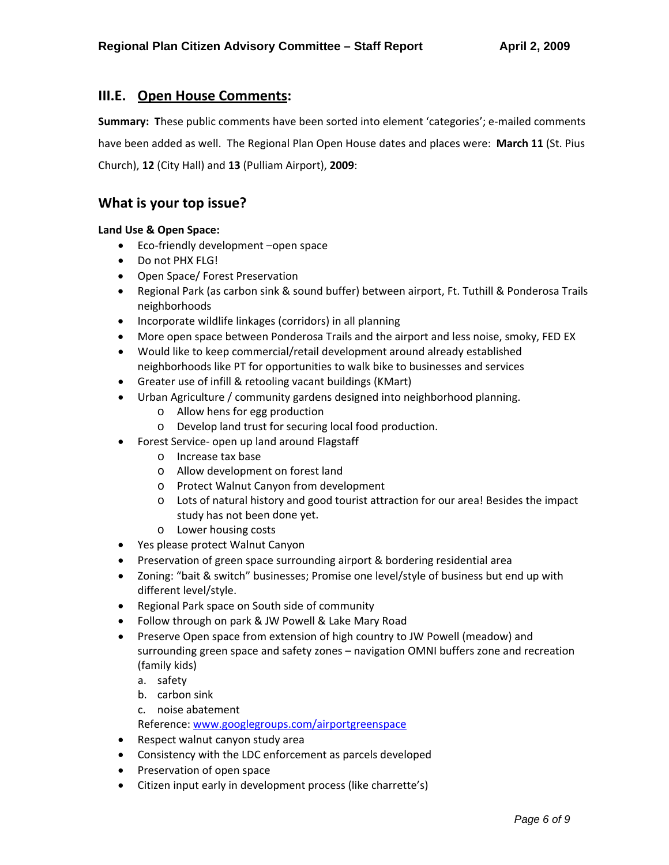### **III.E. Open House Comments:**

**Summary:** These public comments have been sorted into element 'categories'; e-mailed comments have been added as well. The Regional Plan Open House dates and places were: **March 11** (St. Pius Church), **12** (City Hall) and **13** (Pulliam Airport), **2009**:

## **What is your top issue?**

#### **Land Use & Open Space:**

- Eco-friendly development –open space
- Do not PHX FLG!
- Open Space/ Forest Preservation
- Regional Park (as carbon sink & sound buffer) between airport, Ft. Tuthill & Ponderosa Trails neighborhoods
- Incorporate wildlife linkages (corridors) in all planning
- More open space between Ponderosa Trails and the airport and less noise, smoky, FED EX
- Would like to keep commercial/retail development around already established neighborhoods like PT for opportunities to walk bike to businesses and services
- Greater use of infill & retooling vacant buildings (KMart)
- Urban Agriculture / community gardens designed into neighborhood planning.
	- o Allow hens for egg production
	- o Develop land trust for securing local food production.
- Forest Service- open up land around Flagstaff
	- o Increase tax base
	- o Allow development on forest land
	- o Protect Walnut Canyon from development
	- o Lots of natural history and good tourist attraction for our area! Besides the impact study has not been done yet.
	- o Lower housing costs
- Yes please protect Walnut Canyon
- Preservation of green space surrounding airport & bordering residential area
- Zoning: "bait & switch" businesses; Promise one level/style of business but end up with different level/style.
- Regional Park space on South side of community
- Follow through on park & JW Powell & Lake Mary Road
- Preserve Open space from extension of high country to JW Powell (meadow) and surrounding green space and safety zones – navigation OMNI buffers zone and recreation (family kids)
	- a. safety
	- b. carbon sink
	- c. noise abatement

Reference: [www.googlegroups.com/airportgreenspace](http://www.googlegroups.com/airportgreenspace)

- Respect walnut canyon study area
- Consistency with the LDC enforcement as parcels developed
- Preservation of open space
- Citizen input early in development process (like charrette's)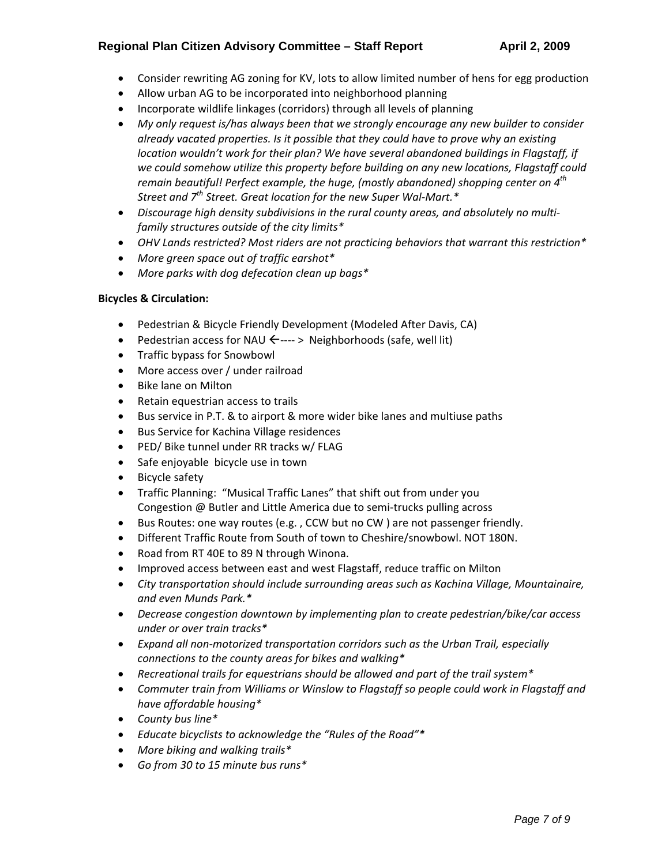#### **Regional Plan Citizen Advisory Committee – Staff Report April 2, 2009**

- Consider rewriting AG zoning for KV, lots to allow limited number of hens for egg production
- Allow urban AG to be incorporated into neighborhood planning
- Incorporate wildlife linkages (corridors) through all levels of planning
- *My only request is/has always been that we strongly encourage any new builder to consider already vacated properties. Is it possible that they could have to prove why an existing location wouldn't work for their plan? We have several abandoned buildings in Flagstaff, if we could somehow utilize this property before building on any new locations, Flagstaff could remain beautiful! Perfect example, the huge, (mostly abandoned) shopping center on 4th Street and 7th Street. Great location for the new Super Wal‐Mart.\**
- *Discourage high density subdivisions in the rural county areas, and absolutely no multi‐ family structures outside of the city limits\**
- *OHV Lands restricted? Most riders are not practicing behaviors that warrant this restriction\**
- *More green space out of traffic earshot\**
- *More parks with dog defecation clean up bags\**

#### **Bicycles & Circulation:**

- Pedestrian & Bicycle Friendly Development (Modeled After Davis, CA)
- Pedestrian access for NAU  $\leftarrow \rightarrow$  Neighborhoods (safe, well lit)
- Traffic bypass for Snowbowl
- More access over / under railroad
- Bike lane on Milton
- Retain equestrian access to trails
- Bus service in P.T. & to airport & more wider bike lanes and multiuse paths
- **•** Bus Service for Kachina Village residences
- PED/ Bike tunnel under RR tracks w/ FLAG
- Safe enjoyable bicycle use in town
- Bicycle safety
- Traffic Planning: "Musical Traffic Lanes" that shift out from under you Congestion @ Butler and Little America due to semi‐trucks pulling across
- Bus Routes: one way routes (e.g. , CCW but no CW ) are not passenger friendly.
- Different Traffic Route from South of town to Cheshire/snowbowl. NOT 180N.
- Road from RT 40E to 89 N through Winona.
- Improved access between east and west Flagstaff, reduce traffic on Milton
- *City transportation should include surrounding areas such as Kachina Village, Mountainaire, and even Munds Park.\**
- *Decrease congestion downtown by implementing plan to create pedestrian/bike/car access under or over train tracks\**
- *Expand all non‐motorized transportation corridors such as the Urban Trail, especially connections to the county areas for bikes and walking\**
- *Recreational trails for equestrians should be allowed and part of the trail system\**
- *Commuter train from Williams or Winslow to Flagstaff so people could work in Flagstaff and have affordable housing\**
- *County bus line\**
- *Educate bicyclists to acknowledge the "Rules of the Road"\**
- *More biking and walking trails\**
- *Go from 30 to 15 minute bus runs\**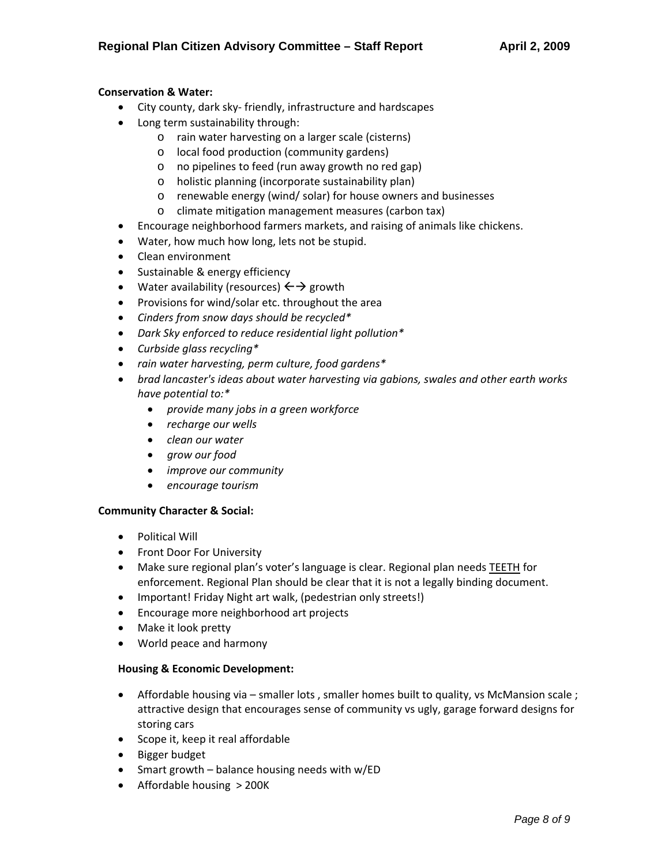#### **Conservation & Water:**

- City county, dark sky‐ friendly, infrastructure and hardscapes
- Long term sustainability through:
	- o rain water harvesting on a larger scale (cisterns)
		- o local food production (community gardens)
		- o no pipelines to feed (run away growth no red gap)
		- o holistic planning (incorporate sustainability plan)
		- o renewable energy (wind/ solar) for house owners and businesses
		- o climate mitigation management measures (carbon tax)
- Encourage neighborhood farmers markets, and raising of animals like chickens.
- Water, how much how long, lets not be stupid.
- Clean environment
- Sustainable & energy efficiency
- Water availability (resources)  $\leftrightarrow$  growth
- Provisions for wind/solar etc. throughout the area
- *Cinders from snow days should be recycled\**
- *Dark Sky enforced to reduce residential light pollution\**
- *Curbside glass recycling\**
- *rain water harvesting, perm culture, food gardens\**
- *brad lancaster's ideas about water harvesting via gabions, swales and other earth works have potential to:\**
	- *provide many jobs in a green workforce*
	- *recharge our wells*
	- *clean our water*
	- *grow our food*
	- *improve our community*
	- *encourage tourism*

#### **Community Character & Social:**

- Political Will
- **•** Front Door For University
- Make sure regional plan's voter's language is clear. Regional plan needs TEETH for enforcement. Regional Plan should be clear that it is not a legally binding document.
- Important! Friday Night art walk, (pedestrian only streets!)
- Encourage more neighborhood art projects
- Make it look pretty
- World peace and harmony

#### **Housing & Economic Development:**

- Affordable housing via smaller lots , smaller homes built to quality, vs McMansion scale ; attractive design that encourages sense of community vs ugly, garage forward designs for storing cars
- Scope it, keep it real affordable
- Bigger budget
- Smart growth balance housing needs with w/ED
- Affordable housing > 200K